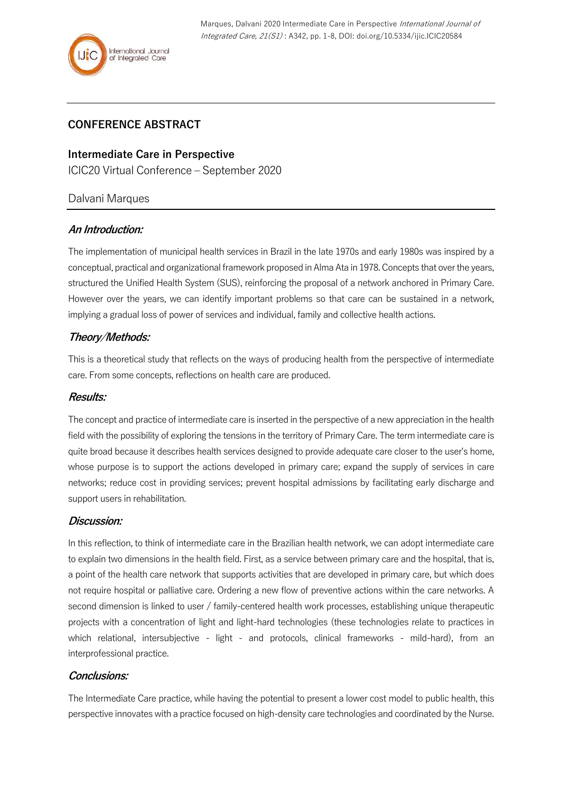# **CONFERENCE ABSTRACT**

## **Intermediate Care in Perspective**

ICIC20 Virtual Conference – September 2020

### Dalvani Marques

### **An Introduction:**

The implementation of municipal health services in Brazil in the late 1970s and early 1980s was inspired by a conceptual, practical and organizational framework proposed in Alma Ata in 1978. Concepts that over the years, structured the Unified Health System (SUS), reinforcing the proposal of a network anchored in Primary Care. However over the years, we can identify important problems so that care can be sustained in a network, implying a gradual loss of power of services and individual, family and collective health actions.

## **Theory/Methods:**

This is a theoretical study that reflects on the ways of producing health from the perspective of intermediate care. From some concepts, reflections on health care are produced.

#### **Results:**

The concept and practice of intermediate care is inserted in the perspective of a new appreciation in the health field with the possibility of exploring the tensions in the territory of Primary Care. The term intermediate care is quite broad because it describes health services designed to provide adequate care closer to the user's home, whose purpose is to support the actions developed in primary care; expand the supply of services in care networks; reduce cost in providing services; prevent hospital admissions by facilitating early discharge and support users in rehabilitation.

### **Discussion:**

In this reflection, to think of intermediate care in the Brazilian health network, we can adopt intermediate care to explain two dimensions in the health field. First, as a service between primary care and the hospital, that is, a point of the health care network that supports activities that are developed in primary care, but which does not require hospital or palliative care. Ordering a new flow of preventive actions within the care networks. A second dimension is linked to user / family-centered health work processes, establishing unique therapeutic projects with a concentration of light and light-hard technologies (these technologies relate to practices in which relational, intersubjective - light - and protocols, clinical frameworks - mild-hard), from an interprofessional practice.

### **Conclusions:**

The Intermediate Care practice, while having the potential to present a lower cost model to public health, this perspective innovates with a practice focused on high-density care technologies and coordinated by the Nurse.